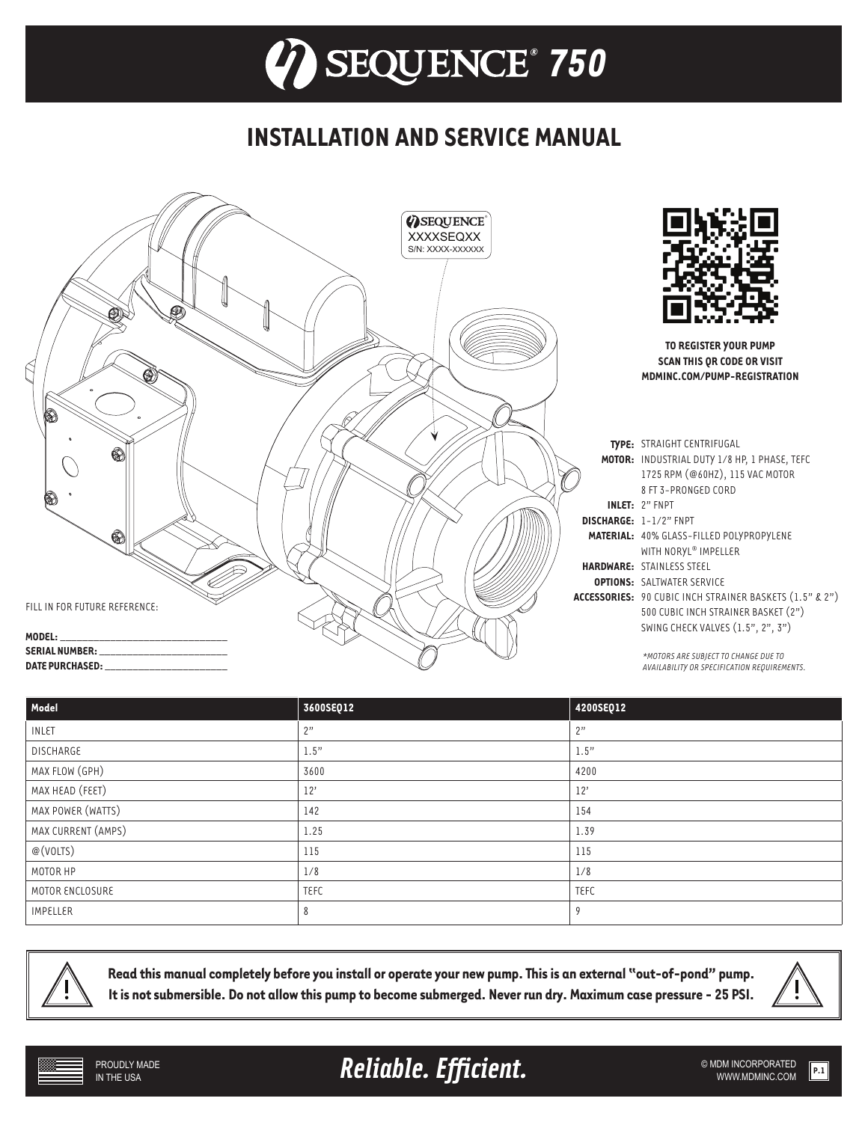## **INSTALLATION AND SERVICE MANUAL**



| Model              | 3600SEQ12   | 4200SEQ12 |
|--------------------|-------------|-----------|
| <b>INLET</b>       | 2"          | 2"        |
| <b>DISCHARGE</b>   | 1.5"        | 1.5"      |
| MAX FLOW (GPH)     | 3600        | 4200      |
| MAX HEAD (FEET)    | 12'         | 12'       |
| MAX POWER (WATTS)  | 142         | 154       |
| MAX CURRENT (AMPS) | 1.25        | 1.39      |
| @(VOLTS)           | 115         | 115       |
| MOTOR HP           | 1/8         | 1/8       |
| MOTOR ENCLOSURE    | <b>TEFC</b> | TEFC      |
| <b>IMPELLER</b>    | 8           |           |



**Read this manual completely before you install or operate your new pump. This is an external "out-of-pond" pump. It is not submersible. Do not allow this pump to become submerged. Never run dry. Maximum case pressure - 25 PSI.**



Reliable. Efficient. **Example 2018** SMDM INCORPORATED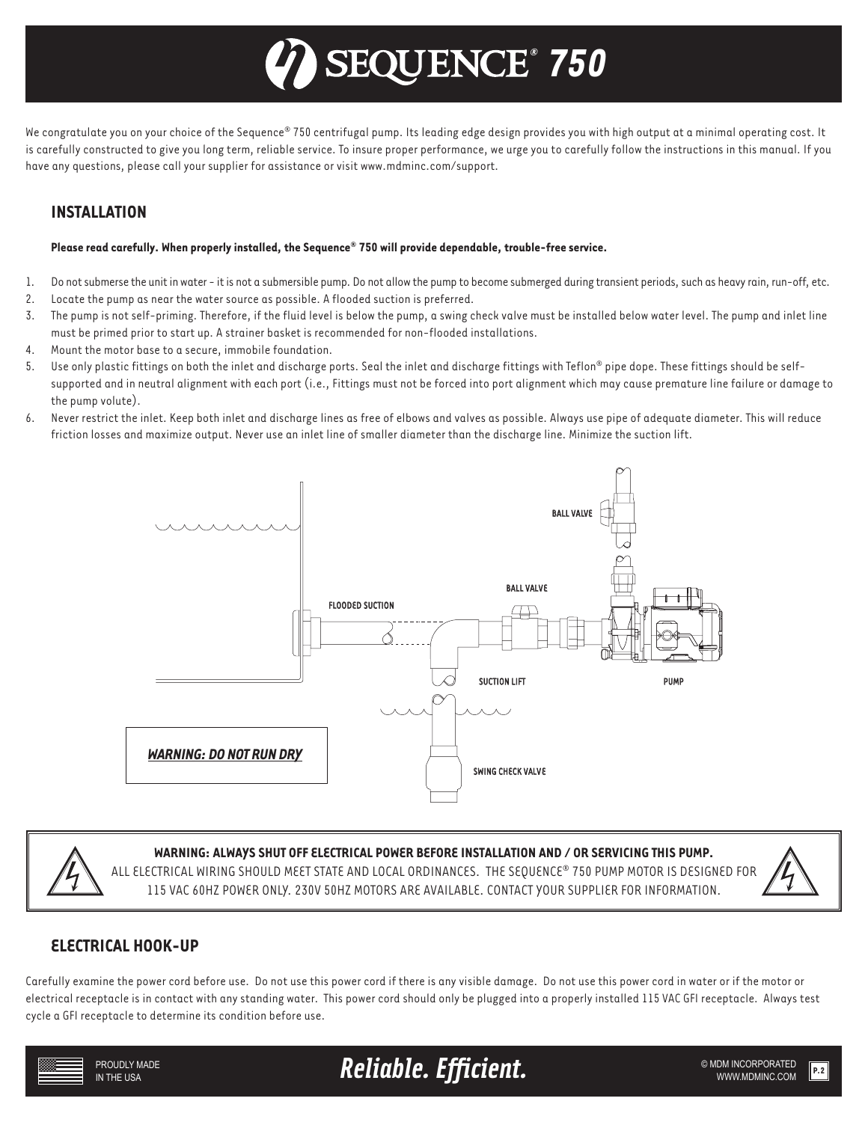# *® 750*

We congratulate you on your choice of the Sequence® 750 centrifugal pump. Its leading edge design provides you with high output at a minimal operating cost. It is carefully constructed to give you long term, reliable service. To insure proper performance, we urge you to carefully follow the instructions in this manual. If you have any questions, please call your supplier for assistance or visit www.mdminc.com/support.

## **INSTALLATION**

#### **Please read carefully. When properly installed, the Sequence® 750 will provide dependable, trouble-free service.**

- 1. Do not submerse the unit in water it is not a submersible pump. Do not allow the pump to become submerged during transient periods, such as heavy rain, run-off, etc.
- 2. Locate the pump as near the water source as possible. A flooded suction is preferred.
- 3. The pump is not self-priming. Therefore, if the fluid level is below the pump, a swing check valve must be installed below water level. The pump and inlet line must be primed prior to start up. A strainer basket is recommended for non-flooded installations.
- 4. Mount the motor base to a secure, immobile foundation.
- 5. Use only plastic fittings on both the inlet and discharge ports. Seal the inlet and discharge fittings with Teflon® pipe dope. These fittings should be selfsupported and in neutral alignment with each port (i.e., Fittings must not be forced into port alignment which may cause premature line failure or damage to the pump volute).
- 6. Never restrict the inlet. Keep both inlet and discharge lines as free of elbows and valves as possible. Always use pipe of adequate diameter. This will reduce friction losses and maximize output. Never use an inlet line of smaller diameter than the discharge line. Minimize the suction lift.





#### **WARNING: ALWAYS SHUT OFF ELECTRICAL POWER BEFORE INSTALLATION AND / OR SERVICING THIS PUMP.**

ALL ELECTRICAL WIRING SHOULD MEET STATE AND LOCAL ORDINANCES. THE SEQUENCE® 750 PUMP MOTOR IS DESIGNED FOR 115 VAC 60HZ POWER ONLY. 230V 50HZ MOTORS ARE AVAILABLE. CONTACT YOUR SUPPLIER FOR INFORMATION.



### **ELECTRICAL HOOK-UP**

Carefully examine the power cord before use. Do not use this power cord if there is any visible damage. Do not use this power cord in water or if the motor or electrical receptacle is in contact with any standing water. This power cord should only be plugged into a properly installed 115 VAC GFI receptacle. Always test cycle a GFI receptacle to determine its condition before use.



**Reliable. Efficient.** WE ARRIVE ONDER DREAM **CORPORATED**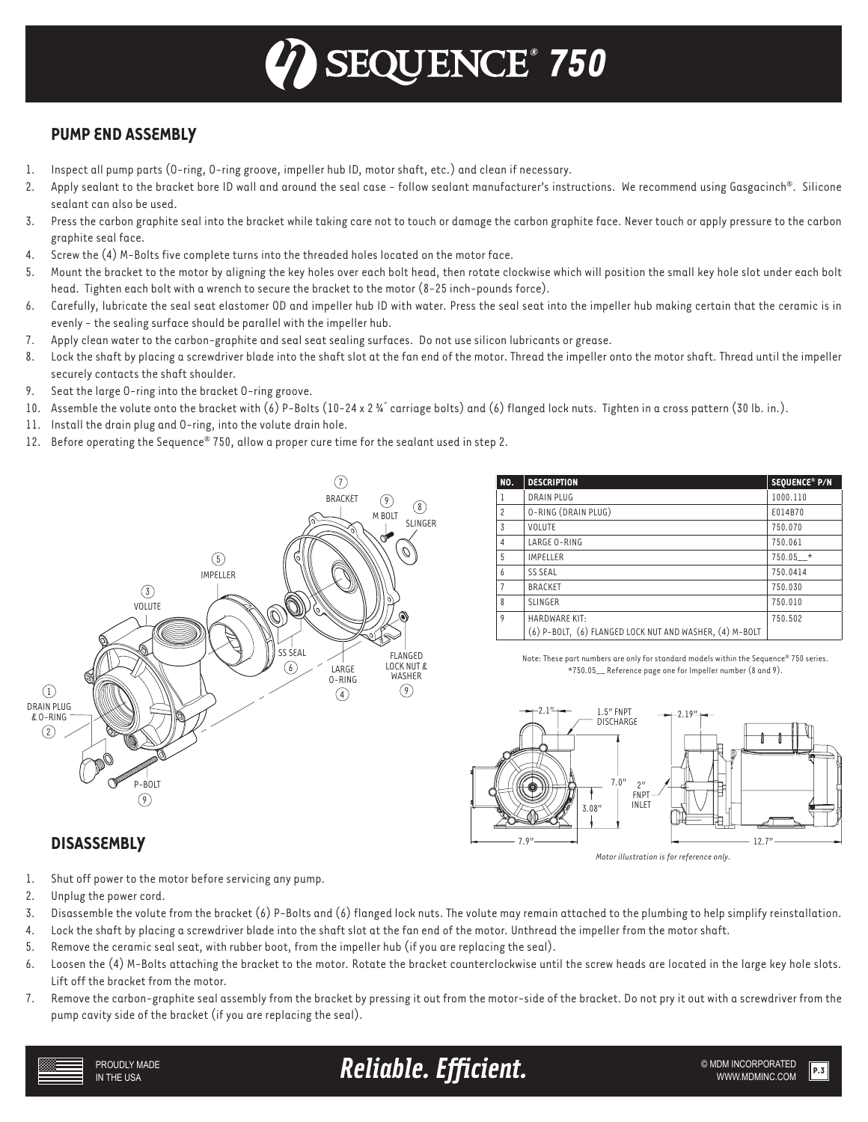# *® 750*

## **PUMP END ASSEMBLY**

- 1. Inspect all pump parts (O-ring, O-ring groove, impeller hub ID, motor shaft, etc.) and clean if necessary.
- Apply sealant to the bracket bore ID wall and around the seal case follow sealant manufacturer's instructions. We recommend using Gasgacinch®. Silicone sealant can also be used.
- 3. Press the carbon graphite seal into the bracket while taking care not to touch or damage the carbon graphite face. Never touch or apply pressure to the carbon graphite seal face.
- 4. Screw the (4) M-Bolts five complete turns into the threaded holes located on the motor face.
- 5. Mount the bracket to the motor by aligning the key holes over each bolt head, then rotate clockwise which will position the small key hole slot under each bolt head. Tighten each bolt with a wrench to secure the bracket to the motor (8-25 inch-pounds force).
- 6. Carefully, lubricate the seal seat elastomer OD and impeller hub ID with water. Press the seal seat into the impeller hub making certain that the ceramic is in evenly - the sealing surface should be parallel with the impeller hub.
- 7. Apply clean water to the carbon-graphite and seal seat sealing surfaces. Do not use silicon lubricants or grease.
- 8. Lock the shaft by placing a screwdriver blade into the shaft slot at the fan end of the motor. Thread the impeller onto the motor shaft. Thread until the impeller securely contacts the shaft shoulder.
- 9. Seat the large O-ring into the bracket O-ring groove.
- 10. Assemble the volute onto the bracket with (6) P-Bolts (10-24 x 2 ¾" carriage bolts) and (6) flanged lock nuts. Tighten in a cross pattern (30 lb. in.).
- 11. Install the drain plug and O-ring, into the volute drain hole.
- 12. Before operating the Sequence® 750, allow a proper cure time for the sealant used in step 2.



| <b>NO.</b>     | <b>DESCRIPTION</b>                                      | SEQUENCE® P/N |
|----------------|---------------------------------------------------------|---------------|
| 1              | <b>DRAIN PLUG</b>                                       | 1000.110      |
| $\overline{2}$ | O-RING (DRAIN PLUG)                                     | £014B70       |
| 3              | VOLUTE                                                  | 750.070       |
| $\overline{4}$ | LARGE O-RING                                            | 750.061       |
| 5              | <b>IMPELLER</b>                                         | $750.05$ *    |
| 6              | <b>SS SEAL</b>                                          | 750.0414      |
| $\overline{7}$ | <b>BRACKET</b>                                          | 750.030       |
| 8              | <b>SLINGER</b>                                          | 750.010       |
| 9              | <b>HARDWARE KIT:</b>                                    | 750.502       |
|                | (6) P-BOLT, (6) FLANGED LOCK NUT AND WASHER, (4) M-BOLT |               |

Note: These part numbers are only for standard models within the Sequence® 750 series. \*750.05\_\_ Reference page one for Impeller number (8 and 9).



*Motor illustration is for reference only.*

### **DISASSEMBLY**

- 1. Shut off power to the motor before servicing any pump.
- 2. Unplug the power cord.
- 3. Disassemble the volute from the bracket (6) P-Bolts and (6) flanged lock nuts. The volute may remain attached to the plumbing to help simplify reinstallation.
- 4. Lock the shaft by placing a screwdriver blade into the shaft slot at the fan end of the motor. Unthread the impeller from the motor shaft.
- 5. Remove the ceramic seal seat, with rubber boot, from the impeller hub (if you are replacing the seal).
- 6. Loosen the (4) M-Bolts attaching the bracket to the motor. Rotate the bracket counterclockwise until the screw heads are located in the large key hole slots. Lift off the bracket from the motor.
- 7. Remove the carbon-graphite seal assembly from the bracket by pressing it out from the motor-side of the bracket. Do not pry it out with a screwdriver from the pump cavity side of the bracket (if you are replacing the seal).